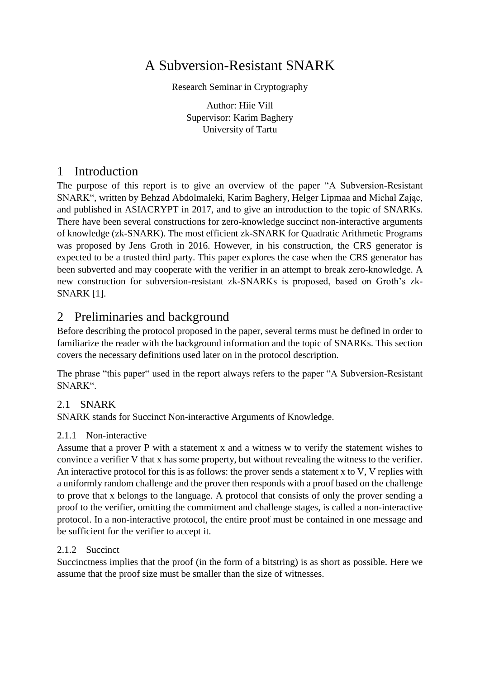# A Subversion-Resistant SNARK

Research Seminar in Cryptography

Author: Hiie Vill Supervisor: Karim Baghery University of Tartu

# 1 Introduction

The purpose of this report is to give an overview of the paper "A Subversion-Resistant SNARK", written by Behzad Abdolmaleki, Karim Baghery, Helger Lipmaa and Michał Zając, and published in ASIACRYPT in 2017, and to give an introduction to the topic of SNARKs. There have been several constructions for zero-knowledge succinct non-interactive arguments of knowledge (zk-SNARK). The most efficient zk-SNARK for Quadratic Arithmetic Programs was proposed by Jens Groth in 2016. However, in his construction, the CRS generator is expected to be a trusted third party. This paper explores the case when the CRS generator has been subverted and may cooperate with the verifier in an attempt to break zero-knowledge. A new construction for subversion-resistant zk-SNARKs is proposed, based on Groth's zk-SNARK [1].

# 2 Preliminaries and background

Before describing the protocol proposed in the paper, several terms must be defined in order to familiarize the reader with the background information and the topic of SNARKs. This section covers the necessary definitions used later on in the protocol description.

The phrase "this paper" used in the report always refers to the paper "A Subversion-Resistant SNARK".

## 2.1 SNARK

SNARK stands for Succinct Non-interactive Arguments of Knowledge.

## 2.1.1 Non-interactive

Assume that a prover P with a statement x and a witness w to verify the statement wishes to convince a verifier V that x has some property, but without revealing the witness to the verifier. An interactive protocol for this is as follows: the prover sends a statement x to V, V replies with a uniformly random challenge and the prover then responds with a proof based on the challenge to prove that x belongs to the language. A protocol that consists of only the prover sending a proof to the verifier, omitting the commitment and challenge stages, is called a non-interactive protocol. In a non-interactive protocol, the entire proof must be contained in one message and be sufficient for the verifier to accept it.

## 2.1.2 Succinct

Succinctness implies that the proof (in the form of a bitstring) is as short as possible. Here we assume that the proof size must be smaller than the size of witnesses.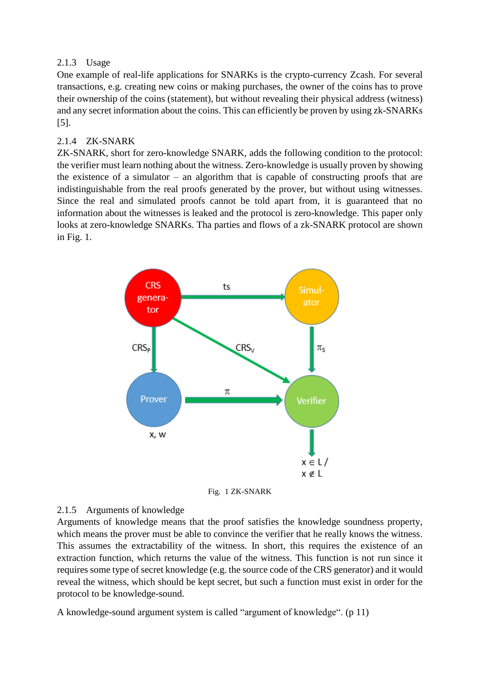#### 2.1.3 Usage

One example of real-life applications for SNARKs is the crypto-currency Zcash. For several transactions, e.g. creating new coins or making purchases, the owner of the coins has to prove their ownership of the coins (statement), but without revealing their physical address (witness) and any secret information about the coins. This can efficiently be proven by using zk-SNARKs [5].

### 2.1.4 ZK-SNARK

ZK-SNARK, short for zero-knowledge SNARK, adds the following condition to the protocol: the verifier must learn nothing about the witness. Zero-knowledge is usually proven by showing the existence of a simulator – an algorithm that is capable of constructing proofs that are indistinguishable from the real proofs generated by the prover, but without using witnesses. Since the real and simulated proofs cannot be told apart from, it is guaranteed that no information about the witnesses is leaked and the protocol is zero-knowledge. This paper only looks at zero-knowledge SNARKs. Tha parties and flows of a zk-SNARK protocol are shown in Fig. 1.



Fig. 1 ZK-SNARK

#### 2.1.5 Arguments of knowledge

Arguments of knowledge means that the proof satisfies the knowledge soundness property, which means the prover must be able to convince the verifier that he really knows the witness. This assumes the extractability of the witness. In short, this requires the existence of an extraction function, which returns the value of the witness. This function is not run since it requires some type of secret knowledge (e.g. the source code of the CRS generator) and it would reveal the witness, which should be kept secret, but such a function must exist in order for the protocol to be knowledge-sound.

A knowledge-sound argument system is called "argument of knowledge". (p 11)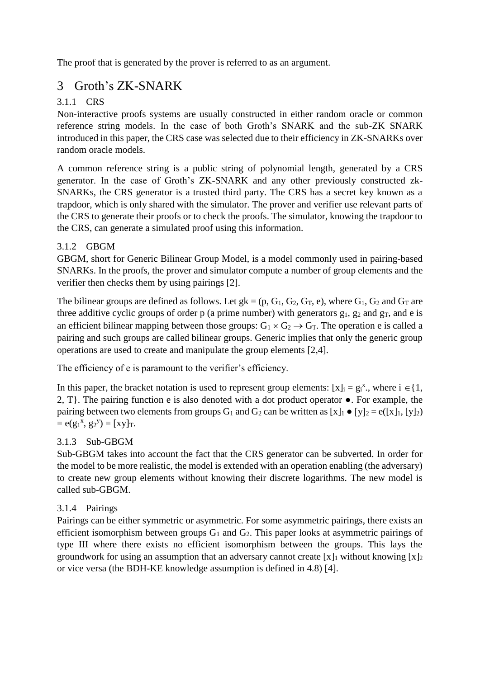The proof that is generated by the prover is referred to as an argument.

# 3 Groth's ZK-SNARK

## 3.1.1 CRS

Non-interactive proofs systems are usually constructed in either random oracle or common reference string models. In the case of both Groth's SNARK and the sub-ZK SNARK introduced in this paper, the CRS case was selected due to their efficiency in ZK-SNARKs over random oracle models.

A common reference string is a public string of polynomial length, generated by a CRS generator. In the case of Groth's ZK-SNARK and any other previously constructed zk-SNARKs, the CRS generator is a trusted third party. The CRS has a secret key known as a trapdoor, which is only shared with the simulator. The prover and verifier use relevant parts of the CRS to generate their proofs or to check the proofs. The simulator, knowing the trapdoor to the CRS, can generate a simulated proof using this information.

## 3.1.2 GBGM

GBGM, short for Generic Bilinear Group Model, is a model commonly used in pairing-based SNARKs. In the proofs, the prover and simulator compute a number of group elements and the verifier then checks them by using pairings [2].

The bilinear groups are defined as follows. Let  $g_k = (p, G_1, G_2, G_T, e)$ , where  $G_1, G_2$  and  $G_T$  are three additive cyclic groups of order p (a prime number) with generators  $g_1$ ,  $g_2$  and  $g_T$ , and e is an efficient bilinear mapping between those groups:  $G_1 \times G_2 \rightarrow G_T$ . The operation e is called a pairing and such groups are called bilinear groups. Generic implies that only the generic group operations are used to create and manipulate the group elements [2,4].

The efficiency of e is paramount to the verifier's efficiency.

In this paper, the bracket notation is used to represent group elements:  $[x]_i = g_i^x$ , where  $i \in \{1,$ 2, T}. The pairing function e is also denoted with a dot product operator ●. For example, the pairing between two elements from groups  $G_1$  and  $G_2$  can be written as  $[x]_1 \bullet [y]_2 = e([x]_1, [y]_2)$  $= e(g_1^x, g_2^y) = [xy]_T.$ 

## 3.1.3 Sub-GBGM

Sub-GBGM takes into account the fact that the CRS generator can be subverted. In order for the model to be more realistic, the model is extended with an operation enabling (the adversary) to create new group elements without knowing their discrete logarithms. The new model is called sub-GBGM.

## 3.1.4 Pairings

Pairings can be either symmetric or asymmetric. For some asymmetric pairings, there exists an efficient isomorphism between groups  $G_1$  and  $G_2$ . This paper looks at asymmetric pairings of type III where there exists no efficient isomorphism between the groups. This lays the groundwork for using an assumption that an adversary cannot create  $[x]_1$  without knowing  $[x]_2$ or vice versa (the BDH-KE knowledge assumption is defined in 4.8) [4].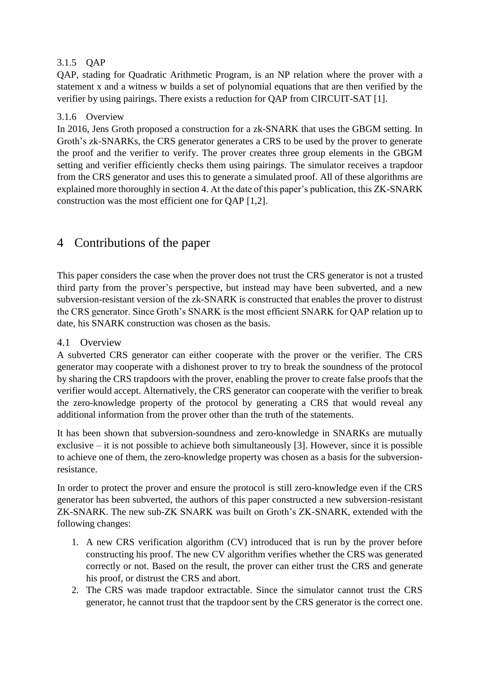#### 3.1.5 QAP

QAP, stading for Quadratic Arithmetic Program, is an NP relation where the prover with a statement x and a witness w builds a set of polynomial equations that are then verified by the verifier by using pairings. There exists a reduction for QAP from CIRCUIT-SAT [1].

#### 3.1.6 Overview

In 2016, Jens Groth proposed a construction for a zk-SNARK that uses the GBGM setting. In Groth's zk-SNARKs, the CRS generator generates a CRS to be used by the prover to generate the proof and the verifier to verify. The prover creates three group elements in the GBGM setting and verifier efficiently checks them using pairings. The simulator receives a trapdoor from the CRS generator and uses this to generate a simulated proof. All of these algorithms are explained more thoroughly in section 4. At the date of this paper's publication, this ZK-SNARK construction was the most efficient one for QAP [1,2].

# 4 Contributions of the paper

This paper considers the case when the prover does not trust the CRS generator is not a trusted third party from the prover's perspective, but instead may have been subverted, and a new subversion-resistant version of the zk-SNARK is constructed that enables the prover to distrust the CRS generator. Since Groth's SNARK is the most efficient SNARK for QAP relation up to date, his SNARK construction was chosen as the basis.

### 4.1 Overview

A subverted CRS generator can either cooperate with the prover or the verifier. The CRS generator may cooperate with a dishonest prover to try to break the soundness of the protocol by sharing the CRS trapdoors with the prover, enabling the prover to create false proofs that the verifier would accept. Alternatively, the CRS generator can cooperate with the verifier to break the zero-knowledge property of the protocol by generating a CRS that would reveal any additional information from the prover other than the truth of the statements.

It has been shown that subversion-soundness and zero-knowledge in SNARKs are mutually exclusive – it is not possible to achieve both simultaneously [3]. However, since it is possible to achieve one of them, the zero-knowledge property was chosen as a basis for the subversionresistance.

In order to protect the prover and ensure the protocol is still zero-knowledge even if the CRS generator has been subverted, the authors of this paper constructed a new subversion-resistant ZK-SNARK. The new sub-ZK SNARK was built on Groth's ZK-SNARK, extended with the following changes:

- 1. A new CRS verification algorithm (CV) introduced that is run by the prover before constructing his proof. The new CV algorithm verifies whether the CRS was generated correctly or not. Based on the result, the prover can either trust the CRS and generate his proof, or distrust the CRS and abort.
- 2. The CRS was made trapdoor extractable. Since the simulator cannot trust the CRS generator, he cannot trust that the trapdoor sent by the CRS generator is the correct one.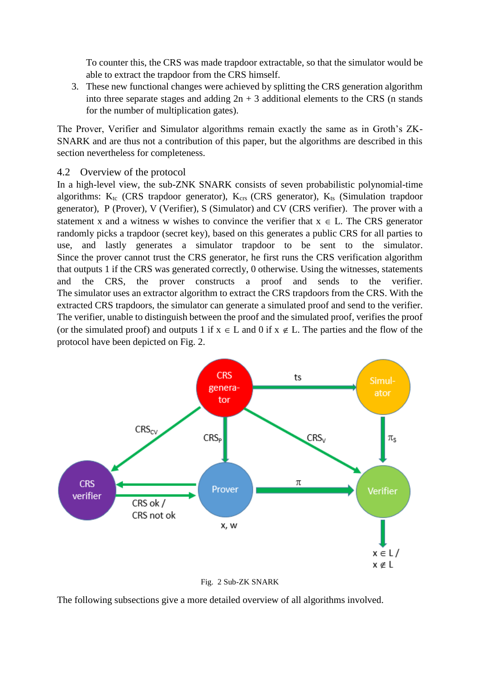To counter this, the CRS was made trapdoor extractable, so that the simulator would be able to extract the trapdoor from the CRS himself.

3. These new functional changes were achieved by splitting the CRS generation algorithm into three separate stages and adding  $2n + 3$  additional elements to the CRS (n stands for the number of multiplication gates).

The Prover, Verifier and Simulator algorithms remain exactly the same as in Groth's ZK-SNARK and are thus not a contribution of this paper, but the algorithms are described in this section nevertheless for completeness.

#### 4.2 Overview of the protocol

In a high-level view, the sub-ZNK SNARK consists of seven probabilistic polynomial-time algorithms:  $K_{tc}$  (CRS trapdoor generator),  $K_{crs}$  (CRS generator),  $K_{ts}$  (Simulation trapdoor generator), P (Prover), V (Verifier), S (Simulator) and CV (CRS verifier). The prover with a statement x and a witness w wishes to convince the verifier that  $x \in L$ . The CRS generator randomly picks a trapdoor (secret key), based on this generates a public CRS for all parties to use, and lastly generates a simulator trapdoor to be sent to the simulator. Since the prover cannot trust the CRS generator, he first runs the CRS verification algorithm that outputs 1 if the CRS was generated correctly, 0 otherwise. Using the witnesses, statements and the CRS, the prover constructs a proof and sends to the verifier. The simulator uses an extractor algorithm to extract the CRS trapdoors from the CRS. With the extracted CRS trapdoors, the simulator can generate a simulated proof and send to the verifier. The verifier, unable to distinguish between the proof and the simulated proof, verifies the proof (or the simulated proof) and outputs 1 if  $x \in L$  and 0 if  $x \notin L$ . The parties and the flow of the protocol have been depicted on Fig. 2.



Fig. 2 Sub-ZK SNARK

The following subsections give a more detailed overview of all algorithms involved.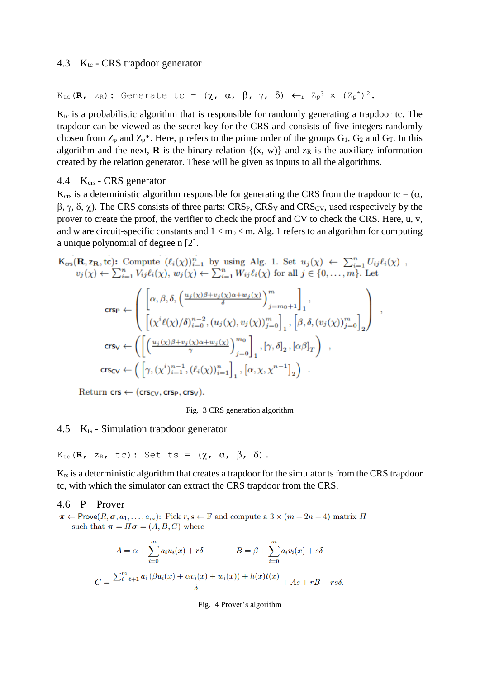#### 4.3  $K_{tc}$  - CRS trapdoor generator

 $K_{\text{tc}}(R, z_R):$  Generate tc =  $(\chi, \alpha, \beta, \gamma, \delta) \leftarrow r Z_p^3 \times (Z_p^*)^2$ .

K<sub>tc</sub> is a probabilistic algorithm that is responsible for randomly generating a trapdoor tc. The trapdoor can be viewed as the secret key for the CRS and consists of five integers randomly chosen from  $Z_p$  and  $Z_p^*$ . Here, p refers to the prime order of the groups  $G_1$ ,  $G_2$  and  $G_T$ . In this algorithm and the next, **R** is the binary relation  $\{(x, w)\}\$  and  $z_R$  is the auxiliary information created by the relation generator. These will be given as inputs to all the algorithms.

#### 4.4 K<sub>crs</sub> - CRS generator

 $K_{\text{crs}}$  is a deterministic algorithm responsible for generating the CRS from the trapdoor tc = ( $\alpha$ ,  $\beta$ ,  $\gamma$ ,  $\delta$ ,  $\chi$ ). The CRS consists of three parts: CRS<sub>P</sub>, CRS<sub>V</sub> and CRS<sub>CV</sub>, used respectively by the prover to create the proof, the verifier to check the proof and CV to check the CRS. Here, u, v, and w are circuit-specific constants and  $1 < m_0 < m$ . Alg. 1 refers to an algorithm for computing a unique polynomial of degree n [2].

 $\mathsf{K}_{\text{crs}}(\mathbf{R},\mathsf{z}_{\mathbf{R}},\mathsf{tc})$ : Compute  $(\ell_i(\chi))_{i=1}^n$  by using Alg. 1. Set  $u_j(\chi) \leftarrow \sum_{i=1}^n U_{ij}\ell_i(\chi)$ ,  $v_j(\chi) \leftarrow \sum_{i=1}^n V_{ij} \ell_i(\chi), w_j(\chi) \leftarrow \sum_{i=1}^n W_{ij} \ell_i(\chi)$  for all  $j \in \{0, \ldots, m\}$ . Let

$$
\begin{aligned} \text{crsp} \gets & \left( \begin{bmatrix} \left[ \alpha, \beta, \delta, \left( \frac{u_j(\chi)\beta + v_j(\chi)\alpha + w_j(\chi)}{\delta} \right)^m \right]_j = m_0 + 1 \end{bmatrix}_1, \\ & \left[ \left( \chi^i \ell(\chi)/\delta \right)_{i=0}^{n-2}, \left( u_j(\chi), v_j(\chi) \right)_{j=0}^m \right]_1, \left[ \beta, \delta, (v_j(\chi))_{j=0}^m \right]_2 \right) \\ \text{crs_V} \gets & \left( \left[ \left( \frac{u_j(\chi)\beta + v_j(\chi)\alpha + w_j(\chi)}{\gamma} \right)_{j=0}^{m_0} \right]_1, \left[ \gamma, \delta \right]_2, \left[ \alpha \beta \right]_T \right) \\ & \text{crs_{CV}} \gets & \left( \left[ \gamma, \left( \chi^i \right)_{i=1}^{n-1}, \left( \ell_i(\chi) \right)_{i=1}^n \right]_1, \left[ \alpha, \chi, \chi^{n-1} \right]_2 \right) \end{aligned}.
$$

Return  $\mathsf{crs} \leftarrow (\mathsf{crs}_{CV}, \mathsf{crs}_P, \mathsf{crs}_V).$ 

#### Fig. 3 CRS generation algorithm

#### 4.5  $K<sub>ts</sub>$  - Simulation trapdoor generator

 $K_{\text{ts}}(R, z_R, tc)$ : Set ts =  $(\chi, \alpha, \beta, \delta)$ .

K<sub>ts</sub> is a deterministic algorithm that creates a trapdoor for the simulator ts from the CRS trapdoor tc, with which the simulator can extract the CRS trapdoor from the CRS.

#### 4.6  $P - Prover$

 $\pi \leftarrow \text{Prove}(R, \sigma, a_1, \ldots, a_m)$ : Pick  $r, s \leftarrow \mathbb{F}$  and compute a  $3 \times (m + 2n + 4)$  matrix  $\Pi$ such that  $\pi = \Pi \sigma = (A, B, C)$  where

$$
A = \alpha + \sum_{i=0}^{m} a_i u_i(x) + r\delta
$$
  
\n
$$
B = \beta + \sum_{i=0}^{m} a_i v_i(x) + s\delta
$$
  
\n
$$
C = \frac{\sum_{i=\ell+1}^{m} a_i (\beta u_i(x) + \alpha v_i(x) + w_i(x)) + h(x)t(x)}{\delta} + As + rB - rs\delta.
$$

Fig. 4 Prover's algorithm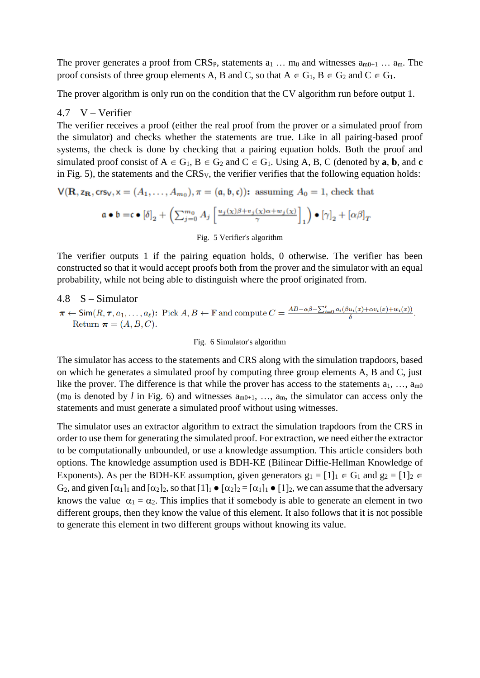The prover generates a proof from CRS<sub>P</sub>, statements  $a_1 \ldots m_0$  and witnesses  $a_{m0+1} \ldots a_m$ . The proof consists of three group elements A, B and C, so that  $A \in G_1$ ,  $B \in G_2$  and  $C \in G_1$ .

The prover algorithm is only run on the condition that the CV algorithm run before output 1.

#### 4.7 V – Verifier

The verifier receives a proof (either the real proof from the prover or a simulated proof from the simulator) and checks whether the statements are true. Like in all pairing-based proof systems, the check is done by checking that a pairing equation holds. Both the proof and simulated proof consist of  $A \in G_1$ ,  $B \in G_2$  and  $C \in G_1$ . Using A, B, C (denoted by **a**, **b**, and **c** in Fig. 5), the statements and the CRSV, the verifier verifies that the following equation holds:

$$
V(\mathbf{R}, z_{\mathbf{R}}, \text{crs}_V, x = (A_1, \dots, A_{m_0}), \pi = (\mathfrak{a}, \mathfrak{b}, \mathfrak{c})\text{): assuming } A_0 = 1 \text{, check that}
$$

$$
\mathfrak{a} \bullet \mathfrak{b} = \mathfrak{c} \bullet \left[ \delta \right]_2 + \left( \sum_{j=0}^{m_0} A_j \left[ \frac{u_j(\chi)\beta + v_j(\chi)\alpha + w_j(\chi)}{\gamma} \right]_1 \right) \bullet \left[ \gamma \right]_2 + \left[ \alpha \beta \right]_T
$$

#### Fig. 5 Verifier's algorithm

The verifier outputs 1 if the pairing equation holds, 0 otherwise. The verifier has been constructed so that it would accept proofs both from the prover and the simulator with an equal probability, while not being able to distinguish where the proof originated from.

### 4.8 S – Simulator  $\pi \leftarrow \textsf{Sim}(R, \tau, a_1, \ldots, a_\ell)$ : Pick  $A, B \leftarrow \mathbb{F}$  and compute  $C = \frac{AB - \alpha \beta - \sum_{i=0}^{\ell} a_i(\beta u_i(x) + \alpha v_i(x) + w_i(x))}{\delta}$ . Return  $\pi = (A, B, C)$ .

#### Fig. 6 Simulator's algorithm

The simulator has access to the statements and CRS along with the simulation trapdoors, based on which he generates a simulated proof by computing three group elements A, B and C, just like the prover. The difference is that while the prover has access to the statements  $a_1, \ldots, a_{m0}$  $(m_0$  is denoted by *l* in Fig. 6) and witnesses  $a_{m0+1}$ , …,  $a_m$ , the simulator can access only the statements and must generate a simulated proof without using witnesses.

The simulator uses an extractor algorithm to extract the simulation trapdoors from the CRS in order to use them for generating the simulated proof. For extraction, we need either the extractor to be computationally unbounded, or use a knowledge assumption. This article considers both options. The knowledge assumption used is BDH-KE (Bilinear Diffie-Hellman Knowledge of Exponents). As per the BDH-KE assumption, given generators  $g_1 = [1]_1 \in G_1$  and  $g_2 = [1]_2 \in$ G<sub>2</sub>, and given  $[\alpha_1]_1$  and  $[\alpha_2]_2$ , so that  $[1]_1 \bullet [\alpha_2]_2 = [\alpha_1]_1 \bullet [1]_2$ , we can assume that the adversary knows the value  $\alpha_1 = \alpha_2$ . This implies that if somebody is able to generate an element in two different groups, then they know the value of this element. It also follows that it is not possible to generate this element in two different groups without knowing its value.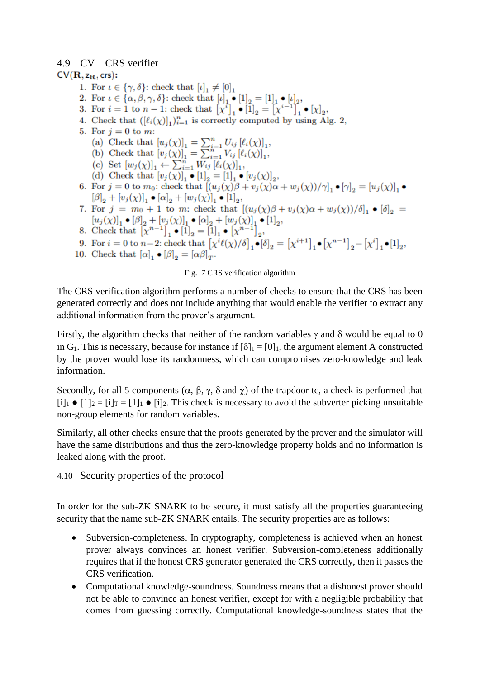## 4.9 CV – CRS verifier

### $CV(R, z_R, crs):$

- 1. For  $\iota \in \{\gamma, \delta\}$ : check that  $[\iota]_1 \neq [0]_1$
- 2. For  $\iota \in \{\alpha, \beta, \gamma, \delta\}$ : check that  $[\iota]_1 \bullet [1]_2 = [1]_1 \bullet [\iota]_2$ ,
- 3. For  $i = 1$  to  $n 1$ : check that  $[x^i]_1 \bullet [1]_2 = [x^{i-1}]_1^2 \bullet [x]_2$ ,
- 4. Check that  $([\ell_i(\chi)]_1)_{i=1}^n$  is correctly computed by using Alg. 2,
- 5. For  $j=0$  to m:
	- (a) Check that  $[u_j(\chi)]_1 = \sum_{i=1}^n U_{ij} [\ell_i(\chi)]_1$ ,<br>
	(b) Check that  $[v_j(\chi)]_1 = \sum_{i=1}^n V_{ij} [\ell_i(\chi)]_1$ ,
	-
	-
	- (c) Set  $[w_j(\chi)]_1 \leftarrow \sum_{i=1}^n W_{ij} [l_i(\chi)]_1$ ,<br>
	(d) Check that  $[v_j(\chi)]_1 \bullet [1]_2 = [1]_1 \bullet [v_j(\chi)]_2$ ,
- 6. For  $j = 0$  to  $m_0$ : check that  $[(u_j(\chi)\beta + v_j(\chi)\alpha + w_j(\chi))/\gamma]_1 \bullet [\gamma]_2 = [u_j(\chi)]_1 \bullet$  $[\beta]_2 + [v_j(\chi)]_1 \bullet [\alpha]_2 + [w_j(\chi)]_1 \bullet [1]_2,$
- 7. For  $j = m_0 + 1$  to m: check that  $[(u_j(\chi)\beta + v_j(\chi)\alpha + w_j(\chi))/\delta]_1 \bullet [\delta]_2$
- $\begin{array}{c} \left[u_j(\chi)\right]_1\bullet[\beta]_2+[v_j(\chi)]_1\bullet[\alpha]_2+[w_j(\chi)]_1\bullet[1]_2,\\ 8. \text{ Check that } \left[\chi^{n-1}\right]_1\bullet[1]_2=[1]_1\bullet\left[\chi^{n-1}\right]_2, \end{array}$
- 9. For  $i = 0$  to  $n-2$ : check that  $[\chi^{i}\ell(\chi)/\delta]_1 \bullet [\delta]_2 = [\chi^{i+1}]_1 \bullet [\chi^{n-1}]_2 [\chi^{i}]_1 \bullet [1]_2$ ,
- 10. Check that  $[\alpha]_1 \bullet [\beta]_2 = [\alpha \beta]_T$ .

#### Fig. 7 CRS verification algorithm

The CRS verification algorithm performs a number of checks to ensure that the CRS has been generated correctly and does not include anything that would enable the verifier to extract any additional information from the prover's argument.

Firstly, the algorithm checks that neither of the random variables  $\gamma$  and  $\delta$  would be equal to 0 in G<sub>1</sub>. This is necessary, because for instance if  $[\delta]_1 = [0]_1$ , the argument element A constructed by the prover would lose its randomness, which can compromises zero-knowledge and leak information.

Secondly, for all 5 components  $(\alpha, \beta, \gamma, \delta \text{ and } \chi)$  of the trapdoor tc, a check is performed that  $[i]_1 \bullet [1]_2 = [i]_T = [1]_1 \bullet [i]_2$ . This check is necessary to avoid the subverter picking unsuitable non-group elements for random variables.

Similarly, all other checks ensure that the proofs generated by the prover and the simulator will have the same distributions and thus the zero-knowledge property holds and no information is leaked along with the proof.

4.10 Security properties of the protocol

In order for the sub-ZK SNARK to be secure, it must satisfy all the properties guaranteeing security that the name sub-ZK SNARK entails. The security properties are as follows:

- Subversion-completeness. In cryptography, completeness is achieved when an honest prover always convinces an honest verifier. Subversion-completeness additionally requires that if the honest CRS generator generated the CRS correctly, then it passes the CRS verification.
- Computational knowledge-soundness. Soundness means that a dishonest prover should not be able to convince an honest verifier, except for with a negligible probability that comes from guessing correctly. Computational knowledge-soundness states that the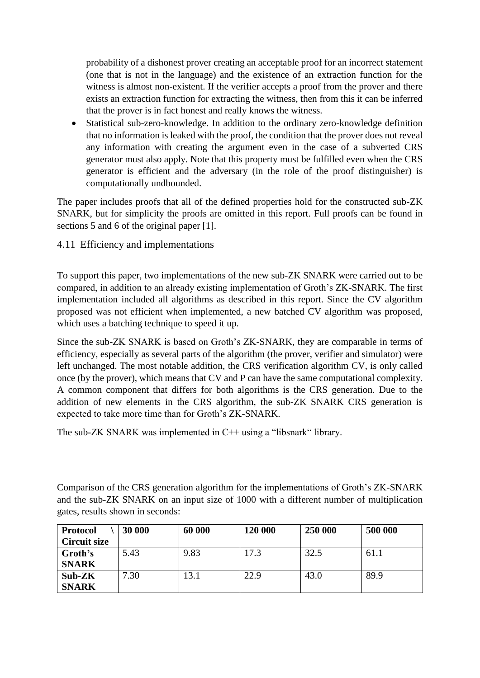probability of a dishonest prover creating an acceptable proof for an incorrect statement (one that is not in the language) and the existence of an extraction function for the witness is almost non-existent. If the verifier accepts a proof from the prover and there exists an extraction function for extracting the witness, then from this it can be inferred that the prover is in fact honest and really knows the witness.

 Statistical sub-zero-knowledge. In addition to the ordinary zero-knowledge definition that no information is leaked with the proof, the condition that the prover does not reveal any information with creating the argument even in the case of a subverted CRS generator must also apply. Note that this property must be fulfilled even when the CRS generator is efficient and the adversary (in the role of the proof distinguisher) is computationally undbounded.

The paper includes proofs that all of the defined properties hold for the constructed sub-ZK SNARK, but for simplicity the proofs are omitted in this report. Full proofs can be found in sections 5 and 6 of the original paper [1].

4.11 Efficiency and implementations

To support this paper, two implementations of the new sub-ZK SNARK were carried out to be compared, in addition to an already existing implementation of Groth's ZK-SNARK. The first implementation included all algorithms as described in this report. Since the CV algorithm proposed was not efficient when implemented, a new batched CV algorithm was proposed, which uses a batching technique to speed it up.

Since the sub-ZK SNARK is based on Groth's ZK-SNARK, they are comparable in terms of efficiency, especially as several parts of the algorithm (the prover, verifier and simulator) were left unchanged. The most notable addition, the CRS verification algorithm CV, is only called once (by the prover), which means that CV and P can have the same computational complexity. A common component that differs for both algorithms is the CRS generation. Due to the addition of new elements in the CRS algorithm, the sub-ZK SNARK CRS generation is expected to take more time than for Groth's ZK-SNARK.

The sub-ZK SNARK was implemented in C++ using a "libsnark" library.

Comparison of the CRS generation algorithm for the implementations of Groth's ZK-SNARK and the sub-ZK SNARK on an input size of 1000 with a different number of multiplication gates, results shown in seconds:

| <b>Protocol</b>     | 30 000 | 60 000 | 120 000 | 250 000 | 500 000 |
|---------------------|--------|--------|---------|---------|---------|
| <b>Circuit size</b> |        |        |         |         |         |
| Groth's             | 5.43   | 9.83   | 17.3    | 32.5    | 61.1    |
| <b>SNARK</b>        |        |        |         |         |         |
| Sub-ZK              | 7.30   | 13.1   | 22.9    | 43.0    | 89.9    |
| <b>SNARK</b>        |        |        |         |         |         |